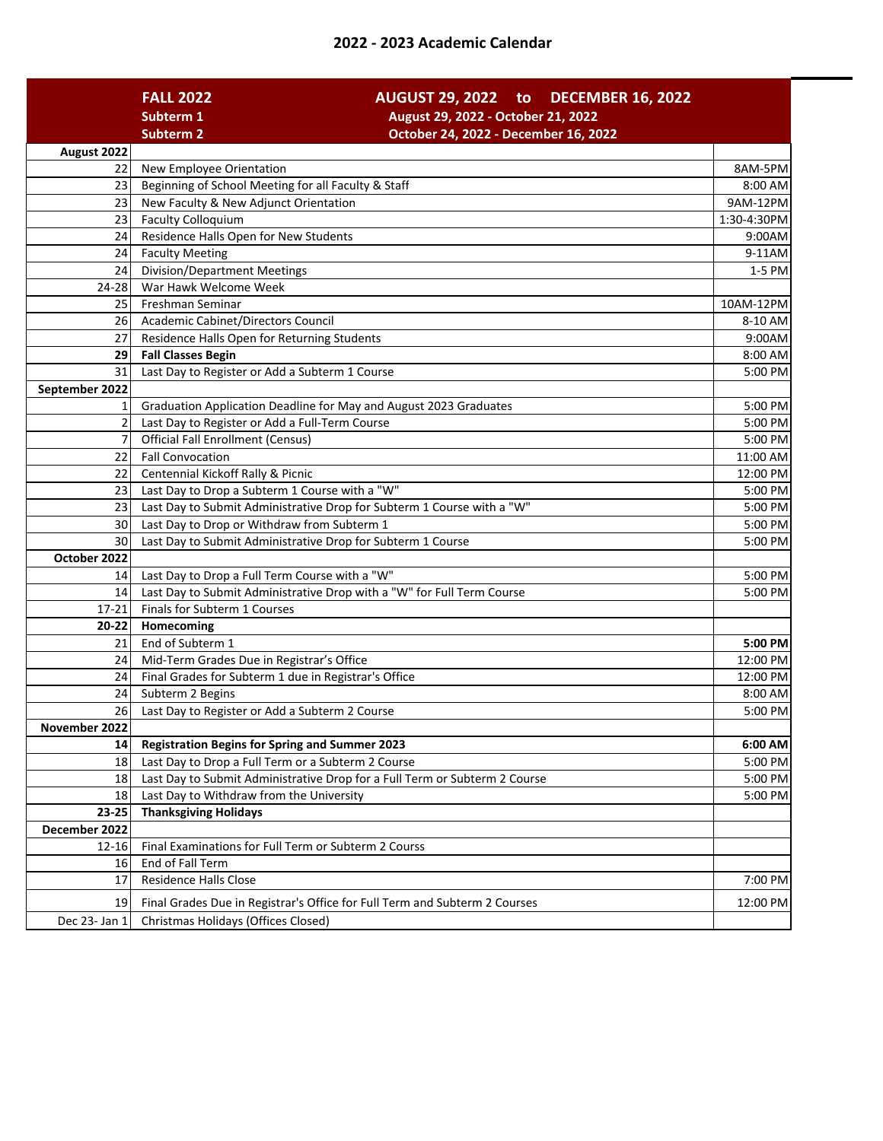| 2022 - 2023 Academic Calendar |  |
|-------------------------------|--|
|-------------------------------|--|

|                        | <b>FALL 2022</b><br>AUGUST 29, 2022 to DECEMBER 16, 2022                                                                         |             |
|------------------------|----------------------------------------------------------------------------------------------------------------------------------|-------------|
|                        | August 29, 2022 - October 21, 2022<br>Subterm 1                                                                                  |             |
|                        | <b>Subterm 2</b><br>October 24, 2022 - December 16, 2022                                                                         |             |
| August 2022            |                                                                                                                                  |             |
| 22                     | New Employee Orientation                                                                                                         | 8AM-5PM     |
| 23                     | Beginning of School Meeting for all Faculty & Staff                                                                              | 8:00 AM     |
| 23                     | New Faculty & New Adjunct Orientation                                                                                            | 9AM-12PM    |
| 23                     | <b>Faculty Colloquium</b>                                                                                                        | 1:30-4:30PM |
| 24                     | Residence Halls Open for New Students                                                                                            | 9:00AM      |
| 24                     | <b>Faculty Meeting</b>                                                                                                           | 9-11AM      |
| 24                     | <b>Division/Department Meetings</b>                                                                                              | 1-5 PM      |
| 24-28                  | War Hawk Welcome Week                                                                                                            |             |
| 25                     | Freshman Seminar                                                                                                                 | 10AM-12PM   |
| 26                     | Academic Cabinet/Directors Council                                                                                               | 8-10 AM     |
| 27                     | Residence Halls Open for Returning Students                                                                                      | 9:00AM      |
| 29                     | <b>Fall Classes Begin</b>                                                                                                        | 8:00 AM     |
| 31                     | Last Day to Register or Add a Subterm 1 Course                                                                                   | 5:00 PM     |
| September 2022         |                                                                                                                                  |             |
| 1                      | Graduation Application Deadline for May and August 2023 Graduates                                                                | 5:00 PM     |
| $\overline{2}$         | Last Day to Register or Add a Full-Term Course                                                                                   | 5:00 PM     |
| $\overline{7}$         | <b>Official Fall Enrollment (Census)</b>                                                                                         | 5:00 PM     |
| 22                     | <b>Fall Convocation</b>                                                                                                          | 11:00 AM    |
| 22                     | Centennial Kickoff Rally & Picnic                                                                                                | 12:00 PM    |
| 23                     | Last Day to Drop a Subterm 1 Course with a "W"                                                                                   | 5:00 PM     |
| 23                     | Last Day to Submit Administrative Drop for Subterm 1 Course with a "W"                                                           | 5:00 PM     |
| 30                     | Last Day to Drop or Withdraw from Subterm 1                                                                                      | 5:00 PM     |
| 30                     | Last Day to Submit Administrative Drop for Subterm 1 Course                                                                      | 5:00 PM     |
| October 2022           |                                                                                                                                  |             |
| 14                     | Last Day to Drop a Full Term Course with a "W"                                                                                   | 5:00 PM     |
| 14                     | Last Day to Submit Administrative Drop with a "W" for Full Term Course                                                           | 5:00 PM     |
| $17 - 21$              | Finals for Subterm 1 Courses                                                                                                     |             |
| 20-22                  | Homecoming                                                                                                                       |             |
| 21                     | End of Subterm 1                                                                                                                 | 5:00 PM     |
| 24                     | Mid-Term Grades Due in Registrar's Office                                                                                        | 12:00 PM    |
| 24                     | Final Grades for Subterm 1 due in Registrar's Office                                                                             | 12:00 PM    |
| 24                     | Subterm 2 Begins                                                                                                                 | 8:00 AM     |
| 26                     | Last Day to Register or Add a Subterm 2 Course                                                                                   | 5:00 PM     |
| November 2022          |                                                                                                                                  |             |
| 14                     | <b>Registration Begins for Spring and Summer 2023</b>                                                                            | 6:00 AM     |
| 18                     | Last Day to Drop a Full Term or a Subterm 2 Course<br>Last Day to Submit Administrative Drop for a Full Term or Subterm 2 Course | 5:00 PM     |
| 18                     |                                                                                                                                  | 5:00 PM     |
| 18                     | Last Day to Withdraw from the University                                                                                         | 5:00 PM     |
| 23-25<br>December 2022 | <b>Thanksgiving Holidays</b>                                                                                                     |             |
|                        |                                                                                                                                  |             |
| 12-16                  | Final Examinations for Full Term or Subterm 2 Courss                                                                             |             |
| 16                     | End of Fall Term<br><b>Residence Halls Close</b>                                                                                 |             |
| 17                     |                                                                                                                                  | 7:00 PM     |
| 19                     | Final Grades Due in Registrar's Office for Full Term and Subterm 2 Courses                                                       | 12:00 PM    |
| Dec 23- Jan 1          | Christmas Holidays (Offices Closed)                                                                                              |             |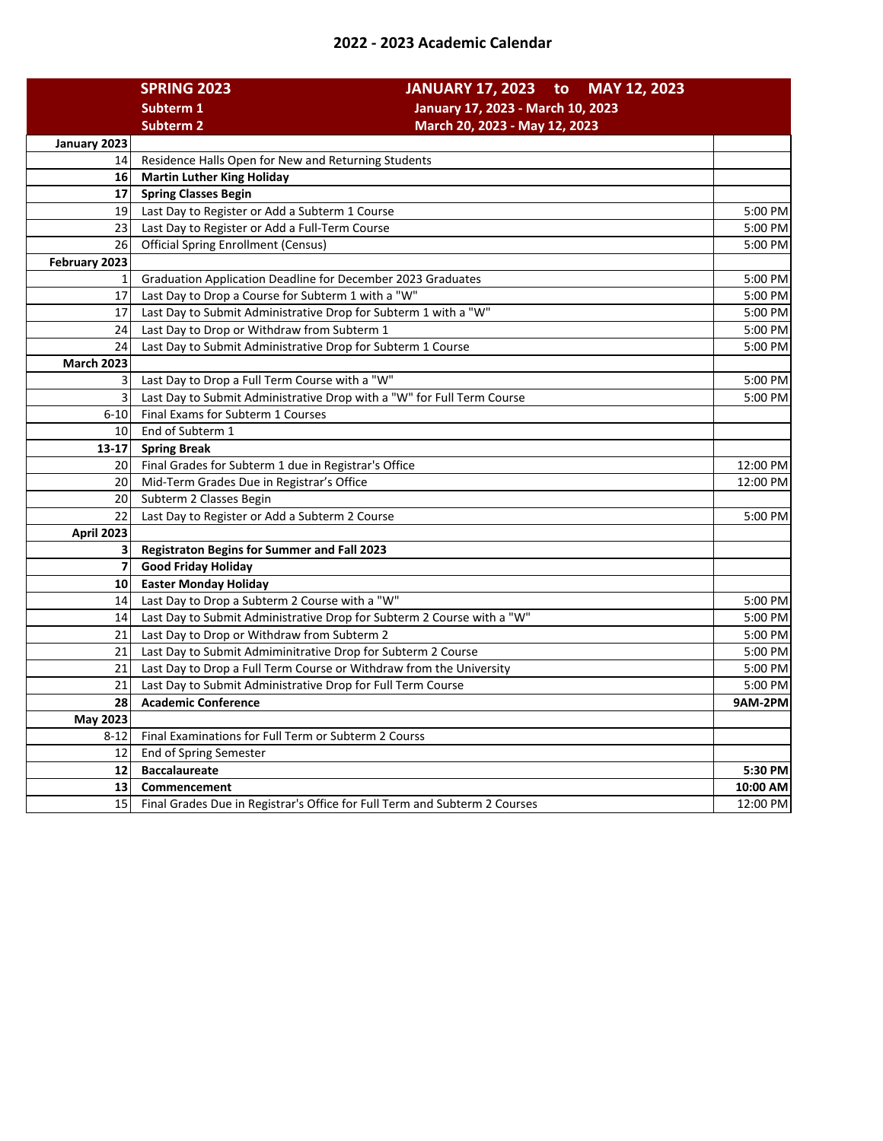## **2022 - 2023 Academic Calendar**

|                         | <b>SPRING 2023</b>                                                         | JANUARY 17, 2023 to MAY 12, 2023  |
|-------------------------|----------------------------------------------------------------------------|-----------------------------------|
|                         | Subterm 1                                                                  | January 17, 2023 - March 10, 2023 |
|                         | <b>Subterm 2</b>                                                           | March 20, 2023 - May 12, 2023     |
| January 2023            |                                                                            |                                   |
| 14                      | Residence Halls Open for New and Returning Students                        |                                   |
| 16                      | <b>Martin Luther King Holiday</b>                                          |                                   |
| 17                      | <b>Spring Classes Begin</b>                                                |                                   |
| 19                      | Last Day to Register or Add a Subterm 1 Course                             | 5:00 PM                           |
| 23                      | Last Day to Register or Add a Full-Term Course                             | 5:00 PM                           |
| 26                      | <b>Official Spring Enrollment (Census)</b><br>5:00 PM                      |                                   |
| February 2023           |                                                                            |                                   |
| 1                       | Graduation Application Deadline for December 2023 Graduates                | 5:00 PM                           |
| 17                      | Last Day to Drop a Course for Subterm 1 with a "W"                         | 5:00 PM                           |
| 17                      | Last Day to Submit Administrative Drop for Subterm 1 with a "W"            | 5:00 PM                           |
| 24                      | Last Day to Drop or Withdraw from Subterm 1                                | 5:00 PM                           |
| 24                      | Last Day to Submit Administrative Drop for Subterm 1 Course                | 5:00 PM                           |
| <b>March 2023</b>       |                                                                            |                                   |
| 3                       | Last Day to Drop a Full Term Course with a "W"                             | 5:00 PM                           |
| 3                       | Last Day to Submit Administrative Drop with a "W" for Full Term Course     | 5:00 PM                           |
| $6 - 10$                | Final Exams for Subterm 1 Courses                                          |                                   |
| 10                      | End of Subterm 1                                                           |                                   |
| $13 - 17$               | <b>Spring Break</b>                                                        |                                   |
| 20                      | Final Grades for Subterm 1 due in Registrar's Office                       | 12:00 PM                          |
| 20                      | Mid-Term Grades Due in Registrar's Office                                  | 12:00 PM                          |
| 20                      | Subterm 2 Classes Begin                                                    |                                   |
| 22                      | Last Day to Register or Add a Subterm 2 Course                             | 5:00 PM                           |
| April 2023              |                                                                            |                                   |
| $\overline{\mathbf{3}}$ | <b>Registraton Begins for Summer and Fall 2023</b>                         |                                   |
| $\overline{7}$          | <b>Good Friday Holiday</b>                                                 |                                   |
| 10                      | <b>Easter Monday Holiday</b>                                               |                                   |
| 14                      | Last Day to Drop a Subterm 2 Course with a "W"                             | 5:00 PM                           |
| 14                      | Last Day to Submit Administrative Drop for Subterm 2 Course with a "W"     | 5:00 PM                           |
| 21                      | Last Day to Drop or Withdraw from Subterm 2                                | 5:00 PM                           |
| 21                      | Last Day to Submit Admiminitrative Drop for Subterm 2 Course               | 5:00 PM                           |
| 21                      | Last Day to Drop a Full Term Course or Withdraw from the University        | 5:00 PM                           |
| 21                      | Last Day to Submit Administrative Drop for Full Term Course                | 5:00 PM                           |
| 28                      | <b>Academic Conference</b>                                                 | 9AM-2PM                           |
| May 2023                |                                                                            |                                   |
| $8 - 12$                | Final Examinations for Full Term or Subterm 2 Courss                       |                                   |
| 12                      | End of Spring Semester                                                     |                                   |
| 12                      | <b>Baccalaureate</b>                                                       | 5:30 PM                           |
| 13 <sup>1</sup>         | Commencement                                                               | 10:00 AM                          |
| 15                      | Final Grades Due in Registrar's Office for Full Term and Subterm 2 Courses | 12:00 PM                          |